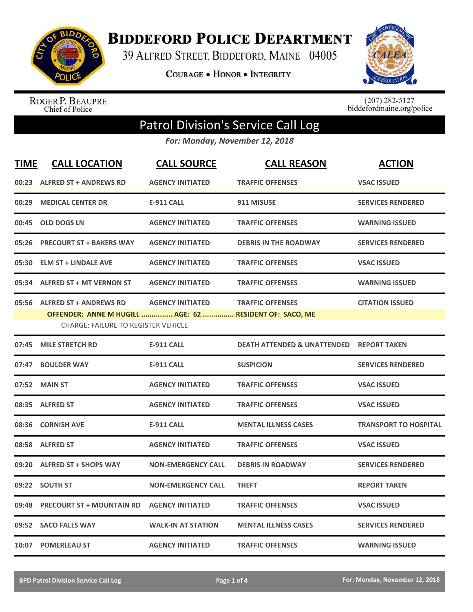

**BIDDEFORD POLICE DEPARTMENT** 

39 ALFRED STREET, BIDDEFORD, MAINE 04005

**COURAGE . HONOR . INTEGRITY** 



ROGER P. BEAUPRE<br>Chief of Police

 $(207)$  282-5127<br>biddefordmaine.org/police

## Patrol Division's Service Call Log

*For: Monday, November 12, 2018*

| <b>TIME</b> | <b>CALL LOCATION</b>                                                                    | <b>CALL SOURCE</b>        | <b>CALL REASON</b>                     | <b>ACTION</b>                |
|-------------|-----------------------------------------------------------------------------------------|---------------------------|----------------------------------------|------------------------------|
|             | 00:23 ALFRED ST + ANDREWS RD                                                            | <b>AGENCY INITIATED</b>   | <b>TRAFFIC OFFENSES</b>                | <b>VSAC ISSUED</b>           |
| 00:29       | <b>MEDICAL CENTER DR</b>                                                                | <b>E-911 CALL</b>         | 911 MISUSE                             | <b>SERVICES RENDERED</b>     |
| 00:45       | <b>OLD DOGS LN</b>                                                                      | <b>AGENCY INITIATED</b>   | <b>TRAFFIC OFFENSES</b>                | <b>WARNING ISSUED</b>        |
| 05:26       | <b>PRECOURT ST + BAKERS WAY</b>                                                         | <b>AGENCY INITIATED</b>   | <b>DEBRIS IN THE ROADWAY</b>           | <b>SERVICES RENDERED</b>     |
| 05:30       | <b>ELM ST + LINDALE AVE</b>                                                             | <b>AGENCY INITIATED</b>   | <b>TRAFFIC OFFENSES</b>                | <b>VSAC ISSUED</b>           |
|             | 05:34 ALFRED ST + MT VERNON ST                                                          | <b>AGENCY INITIATED</b>   | <b>TRAFFIC OFFENSES</b>                | <b>WARNING ISSUED</b>        |
|             | 05:56 ALFRED ST + ANDREWS RD<br>OFFENDER: ANNE M HUGILL  AGE: 62  RESIDENT OF: SACO, ME | <b>AGENCY INITIATED</b>   | <b>TRAFFIC OFFENSES</b>                | <b>CITATION ISSUED</b>       |
|             | <b>CHARGE: FAILURE TO REGISTER VEHICLE</b>                                              |                           |                                        |                              |
| 07:45       | <b>MILE STRETCH RD</b>                                                                  | <b>E-911 CALL</b>         | <b>DEATH ATTENDED &amp; UNATTENDED</b> | <b>REPORT TAKEN</b>          |
| 07:47       | <b>BOULDER WAY</b>                                                                      | <b>E-911 CALL</b>         | <b>SUSPICION</b>                       | <b>SERVICES RENDERED</b>     |
| 07:52       | <b>MAIN ST</b>                                                                          | <b>AGENCY INITIATED</b>   | <b>TRAFFIC OFFENSES</b>                | <b>VSAC ISSUED</b>           |
|             | 08:35 ALFRED ST                                                                         | <b>AGENCY INITIATED</b>   | <b>TRAFFIC OFFENSES</b>                | <b>VSAC ISSUED</b>           |
| 08:36       | <b>CORNISH AVE</b>                                                                      | <b>E-911 CALL</b>         | <b>MENTAL ILLNESS CASES</b>            | <b>TRANSPORT TO HOSPITAL</b> |
|             | 08:58 ALFRED ST                                                                         | <b>AGENCY INITIATED</b>   | <b>TRAFFIC OFFENSES</b>                | <b>VSAC ISSUED</b>           |
| 09:20       | <b>ALFRED ST + SHOPS WAY</b>                                                            | <b>NON-EMERGENCY CALL</b> | <b>DEBRIS IN ROADWAY</b>               | <b>SERVICES RENDERED</b>     |
|             | 09:22 SOUTH ST                                                                          | <b>NON-EMERGENCY CALL</b> | <b>THEFT</b>                           | <b>REPORT TAKEN</b>          |
| 09:48       | <b>PRECOURT ST + MOUNTAIN RD</b>                                                        | <b>AGENCY INITIATED</b>   | <b>TRAFFIC OFFENSES</b>                | <b>VSAC ISSUED</b>           |
|             | 09:52 SACO FALLS WAY                                                                    | <b>WALK-IN AT STATION</b> | <b>MENTAL ILLNESS CASES</b>            | <b>SERVICES RENDERED</b>     |
|             | 10:07 POMERLEAU ST                                                                      | <b>AGENCY INITIATED</b>   | <b>TRAFFIC OFFENSES</b>                | <b>WARNING ISSUED</b>        |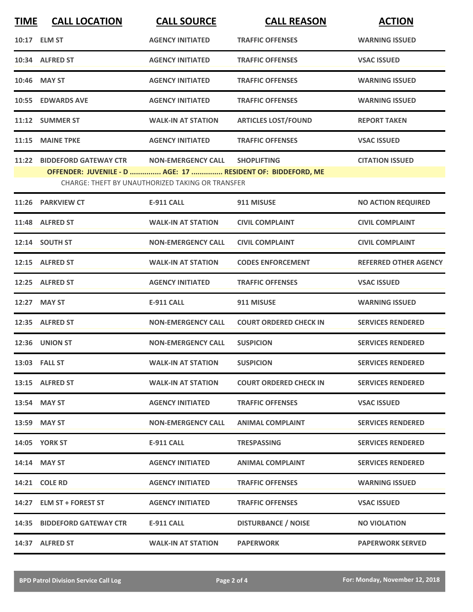| <b>TIME</b> | <b>CALL LOCATION</b>                                                                       | <b>CALL SOURCE</b>                                      | <b>CALL REASON</b>            | <b>ACTION</b>                |
|-------------|--------------------------------------------------------------------------------------------|---------------------------------------------------------|-------------------------------|------------------------------|
|             | 10:17 ELM ST                                                                               | <b>AGENCY INITIATED</b>                                 | <b>TRAFFIC OFFENSES</b>       | <b>WARNING ISSUED</b>        |
|             | 10:34 ALFRED ST                                                                            | <b>AGENCY INITIATED</b>                                 | <b>TRAFFIC OFFENSES</b>       | <b>VSAC ISSUED</b>           |
|             | 10:46 MAY ST                                                                               | <b>AGENCY INITIATED</b>                                 | <b>TRAFFIC OFFENSES</b>       | <b>WARNING ISSUED</b>        |
|             | 10:55 EDWARDS AVE                                                                          | <b>AGENCY INITIATED</b>                                 | <b>TRAFFIC OFFENSES</b>       | <b>WARNING ISSUED</b>        |
|             | 11:12 SUMMER ST                                                                            | <b>WALK-IN AT STATION</b>                               | <b>ARTICLES LOST/FOUND</b>    | <b>REPORT TAKEN</b>          |
|             | 11:15 MAINE TPKE                                                                           | <b>AGENCY INITIATED</b>                                 | <b>TRAFFIC OFFENSES</b>       | <b>VSAC ISSUED</b>           |
|             | 11:22 BIDDEFORD GATEWAY CTR<br>OFFENDER: JUVENILE - D  AGE: 17  RESIDENT OF: BIDDEFORD, ME | <b>NON-EMERGENCY CALL</b>                               | <b>SHOPLIFTING</b>            | <b>CITATION ISSUED</b>       |
|             |                                                                                            | <b>CHARGE: THEFT BY UNAUTHORIZED TAKING OR TRANSFER</b> |                               |                              |
|             | 11:26 PARKVIEW CT                                                                          | <b>E-911 CALL</b>                                       | 911 MISUSE                    | <b>NO ACTION REQUIRED</b>    |
|             | 11:48 ALFRED ST                                                                            | <b>WALK-IN AT STATION</b>                               | <b>CIVIL COMPLAINT</b>        | <b>CIVIL COMPLAINT</b>       |
|             | 12:14 SOUTH ST                                                                             | <b>NON-EMERGENCY CALL</b>                               | <b>CIVIL COMPLAINT</b>        | <b>CIVIL COMPLAINT</b>       |
|             | 12:15 ALFRED ST                                                                            | <b>WALK-IN AT STATION</b>                               | <b>CODES ENFORCEMENT</b>      | <b>REFERRED OTHER AGENCY</b> |
|             | 12:25 ALFRED ST                                                                            | <b>AGENCY INITIATED</b>                                 | <b>TRAFFIC OFFENSES</b>       | <b>VSAC ISSUED</b>           |
|             | 12:27 MAY ST                                                                               | <b>E-911 CALL</b>                                       | 911 MISUSE                    | <b>WARNING ISSUED</b>        |
|             | 12:35 ALFRED ST                                                                            | <b>NON-EMERGENCY CALL</b>                               | <b>COURT ORDERED CHECK IN</b> | <b>SERVICES RENDERED</b>     |
|             | <b>12:36 UNION ST</b>                                                                      | <b>NON-EMERGENCY CALL</b>                               | <b>SUSPICION</b>              | <b>SERVICES RENDERED</b>     |
|             | 13:03 FALL ST                                                                              | <b>WALK-IN AT STATION</b>                               | <b>SUSPICION</b>              | <b>SERVICES RENDERED</b>     |
|             | 13:15 ALFRED ST                                                                            | <b>WALK-IN AT STATION</b>                               | <b>COURT ORDERED CHECK IN</b> | <b>SERVICES RENDERED</b>     |
|             | 13:54 MAY ST                                                                               | <b>AGENCY INITIATED</b>                                 | <b>TRAFFIC OFFENSES</b>       | <b>VSAC ISSUED</b>           |
|             | 13:59 MAY ST                                                                               | <b>NON-EMERGENCY CALL</b>                               | <b>ANIMAL COMPLAINT</b>       | <b>SERVICES RENDERED</b>     |
|             | 14:05 YORK ST                                                                              | <b>E-911 CALL</b>                                       | <b>TRESPASSING</b>            | <b>SERVICES RENDERED</b>     |
|             | 14:14 MAY ST                                                                               | <b>AGENCY INITIATED</b>                                 | <b>ANIMAL COMPLAINT</b>       | <b>SERVICES RENDERED</b>     |
|             | 14:21 COLE RD                                                                              | <b>AGENCY INITIATED</b>                                 | <b>TRAFFIC OFFENSES</b>       | <b>WARNING ISSUED</b>        |
|             | 14:27 ELM ST + FOREST ST                                                                   | <b>AGENCY INITIATED</b>                                 | <b>TRAFFIC OFFENSES</b>       | <b>VSAC ISSUED</b>           |
|             | 14:35 BIDDEFORD GATEWAY CTR                                                                | E-911 CALL                                              | <b>DISTURBANCE / NOISE</b>    | <b>NO VIOLATION</b>          |
|             | 14:37 ALFRED ST                                                                            | <b>WALK-IN AT STATION</b>                               | <b>PAPERWORK</b>              | <b>PAPERWORK SERVED</b>      |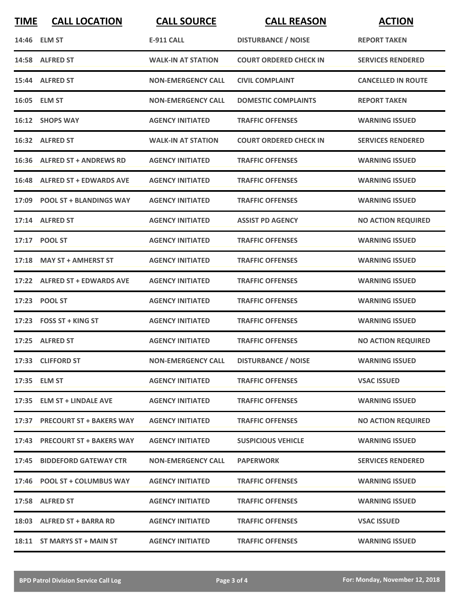| <b>TIME</b> | <b>CALL LOCATION</b>           | <b>CALL SOURCE</b>        | <b>CALL REASON</b>            | <b>ACTION</b>             |
|-------------|--------------------------------|---------------------------|-------------------------------|---------------------------|
|             | 14:46 ELM ST                   | <b>E-911 CALL</b>         | <b>DISTURBANCE / NOISE</b>    | <b>REPORT TAKEN</b>       |
|             | 14:58 ALFRED ST                | <b>WALK-IN AT STATION</b> | <b>COURT ORDERED CHECK IN</b> | <b>SERVICES RENDERED</b>  |
|             | 15:44 ALFRED ST                | <b>NON-EMERGENCY CALL</b> | <b>CIVIL COMPLAINT</b>        | <b>CANCELLED IN ROUTE</b> |
|             | 16:05 ELM ST                   | <b>NON-EMERGENCY CALL</b> | <b>DOMESTIC COMPLAINTS</b>    | <b>REPORT TAKEN</b>       |
|             | 16:12 SHOPS WAY                | <b>AGENCY INITIATED</b>   | <b>TRAFFIC OFFENSES</b>       | <b>WARNING ISSUED</b>     |
|             | 16:32 ALFRED ST                | <b>WALK-IN AT STATION</b> | COURT ORDERED CHECK IN        | <b>SERVICES RENDERED</b>  |
|             | 16:36 ALFRED ST + ANDREWS RD   | <b>AGENCY INITIATED</b>   | <b>TRAFFIC OFFENSES</b>       | <b>WARNING ISSUED</b>     |
|             | 16:48 ALFRED ST + EDWARDS AVE  | <b>AGENCY INITIATED</b>   | <b>TRAFFIC OFFENSES</b>       | <b>WARNING ISSUED</b>     |
|             | 17:09 POOL ST + BLANDINGS WAY  | <b>AGENCY INITIATED</b>   | <b>TRAFFIC OFFENSES</b>       | <b>WARNING ISSUED</b>     |
|             | 17:14 ALFRED ST                | <b>AGENCY INITIATED</b>   | <b>ASSIST PD AGENCY</b>       | <b>NO ACTION REQUIRED</b> |
|             | 17:17 POOL ST                  | <b>AGENCY INITIATED</b>   | <b>TRAFFIC OFFENSES</b>       | <b>WARNING ISSUED</b>     |
| 17:18       | <b>MAY ST + AMHERST ST</b>     | <b>AGENCY INITIATED</b>   | <b>TRAFFIC OFFENSES</b>       | <b>WARNING ISSUED</b>     |
|             | 17:22 ALFRED ST + EDWARDS AVE  | <b>AGENCY INITIATED</b>   | <b>TRAFFIC OFFENSES</b>       | <b>WARNING ISSUED</b>     |
| 17:23       | <b>POOL ST</b>                 | <b>AGENCY INITIATED</b>   | <b>TRAFFIC OFFENSES</b>       | <b>WARNING ISSUED</b>     |
|             | $17:23$ FOSS ST + KING ST      | <b>AGENCY INITIATED</b>   | <b>TRAFFIC OFFENSES</b>       | <b>WARNING ISSUED</b>     |
|             | 17:25 ALFRED ST                | <b>AGENCY INITIATED</b>   | <b>TRAFFIC OFFENSES</b>       | <b>NO ACTION REQUIRED</b> |
|             | 17:33 CLIFFORD ST              | <b>NON-EMERGENCY CALL</b> | <b>DISTURBANCE / NOISE</b>    | <b>WARNING ISSUED</b>     |
|             | 17:35 ELM ST                   | <b>AGENCY INITIATED</b>   | <b>TRAFFIC OFFENSES</b>       | <b>VSAC ISSUED</b>        |
|             | 17:35 ELM ST + LINDALE AVE     | <b>AGENCY INITIATED</b>   | <b>TRAFFIC OFFENSES</b>       | <b>WARNING ISSUED</b>     |
|             | 17:37 PRECOURT ST + BAKERS WAY | <b>AGENCY INITIATED</b>   | <b>TRAFFIC OFFENSES</b>       | <b>NO ACTION REQUIRED</b> |
|             | 17:43 PRECOURT ST + BAKERS WAY | <b>AGENCY INITIATED</b>   | <b>SUSPICIOUS VEHICLE</b>     | <b>WARNING ISSUED</b>     |
|             | 17:45 BIDDEFORD GATEWAY CTR    | <b>NON-EMERGENCY CALL</b> | <b>PAPERWORK</b>              | <b>SERVICES RENDERED</b>  |
|             | 17:46 POOL ST + COLUMBUS WAY   | <b>AGENCY INITIATED</b>   | <b>TRAFFIC OFFENSES</b>       | <b>WARNING ISSUED</b>     |
|             | 17:58 ALFRED ST                | <b>AGENCY INITIATED</b>   | <b>TRAFFIC OFFENSES</b>       | <b>WARNING ISSUED</b>     |
|             | 18:03 ALFRED ST + BARRA RD     | <b>AGENCY INITIATED</b>   | <b>TRAFFIC OFFENSES</b>       | <b>VSAC ISSUED</b>        |
|             | 18:11 ST MARYS ST + MAIN ST    | <b>AGENCY INITIATED</b>   | <b>TRAFFIC OFFENSES</b>       | <b>WARNING ISSUED</b>     |